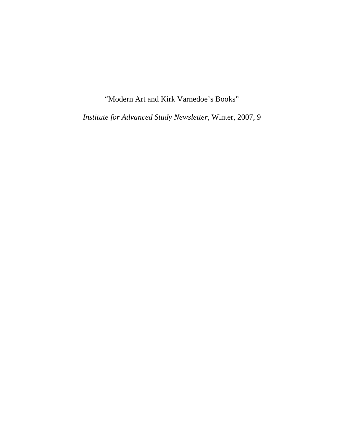"Modern Art and Kirk Varnedoe's Books"

*Institute for Advanced Study Newsletter*, Winter, 2007, 9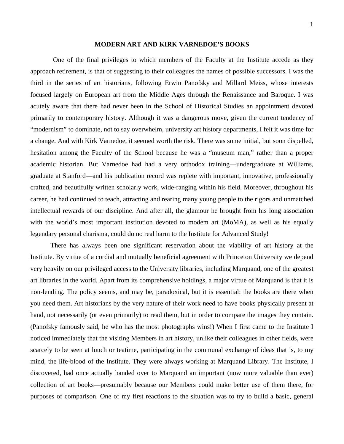## **MODERN ART AND KIRK VARNEDOE'S BOOKS**

 One of the final privileges to which members of the Faculty at the Institute accede as they approach retirement, is that of suggesting to their colleagues the names of possible successors. I was the third in the series of art historians, following Erwin Panofsky and Millard Meiss, whose interests focused largely on European art from the Middle Ages through the Renaissance and Baroque. I was acutely aware that there had never been in the School of Historical Studies an appointment devoted primarily to contemporary history. Although it was a dangerous move, given the current tendency of "modernism" to dominate, not to say overwhelm, university art history departments, I felt it was time for a change. And with Kirk Varnedoe, it seemed worth the risk. There was some initial, but soon dispelled, hesitation among the Faculty of the School because he was a "museum man," rather than a proper academic historian. But Varnedoe had had a very orthodox training—undergraduate at Williams, graduate at Stanford—and his publication record was replete with important, innovative, professionally crafted, and beautifully written scholarly work, wide-ranging within his field. Moreover, throughout his career, he had continued to teach, attracting and rearing many young people to the rigors and unmatched intellectual rewards of our discipline. And after all, the glamour he brought from his long association with the world's most important institution devoted to modem art (MoMA), as well as his equally legendary personal charisma, could do no real harm to the Institute for Advanced Study!

There has always been one significant reservation about the viability of art history at the Institute. By virtue of a cordial and mutually beneficial agreement with Princeton University we depend very heavily on our privileged access to the University libraries, including Marquand, one of the greatest art libraries in the world. Apart from its comprehensive holdings, a major virtue of Marquand is that it is non-lending. The policy seems, and may be, paradoxical, but it is essential: the books are there when you need them. Art historians by the very nature of their work need to have books physically present at hand, not necessarily (or even primarily) to read them, but in order to compare the images they contain. (Panofsky famously said, he who has the most photographs wins!) When I first came to the Institute I noticed immediately that the visiting Members in art history, unlike their colleagues in other fields, were scarcely to be seen at lunch or teatime, participating in the communal exchange of ideas that is, to my mind, the life-blood of the Institute. They were always working at Marquand Library. The Institute, I discovered, had once actually handed over to Marquand an important (now more valuable than ever) collection of art books—presumably because our Members could make better use of them there, for purposes of comparison. One of my first reactions to the situation was to try to build a basic, general